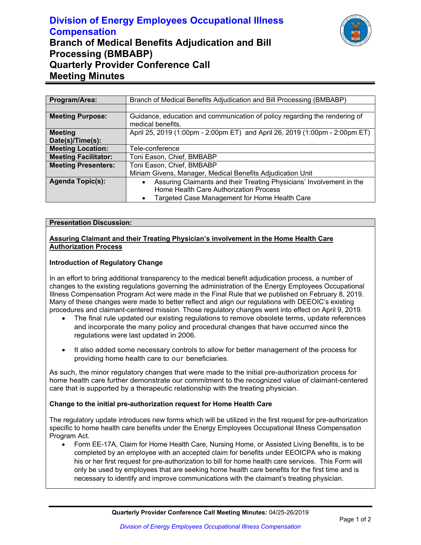# **Division of Energy Employees Occupational Illness Compensation Branch of Medical Benefits Adjudication and Bill Processing (BMBABP) Quarterly Provider Conference Call Meeting Minutes**



| Program/Area:               | Branch of Medical Benefits Adjudication and Bill Processing (BMBABP)                            |
|-----------------------------|-------------------------------------------------------------------------------------------------|
|                             |                                                                                                 |
| <b>Meeting Purpose:</b>     | Guidance, education and communication of policy regarding the rendering of<br>medical benefits. |
| <b>Meeting</b>              | April 25, 2019 (1:00pm - 2:00pm ET) and April 26, 2019 (1:00pm - 2:00pm ET)                     |
| Date(s)/Time(s):            |                                                                                                 |
| <b>Meeting Location:</b>    | Tele-conference                                                                                 |
| <b>Meeting Facilitator:</b> | Toni Eason, Chief, BMBABP                                                                       |
| <b>Meeting Presenters:</b>  | Toni Eason, Chief, BMBABP                                                                       |
|                             | Miriam Givens, Manager, Medical Benefits Adjudication Unit                                      |
| <b>Agenda Topic(s):</b>     | Assuring Claimants and their Treating Physicians' Involvement in the                            |
|                             | Home Health Care Authorization Process                                                          |
|                             | Targeted Case Management for Home Health Care                                                   |

#### **Presentation Discussion:**

### **Assuring Claimant and their Treating Physician's involvement in the Home Health Care Authorization Process**

#### **Introduction of Regulatory Change**

In an effort to bring additional transparency to the medical benefit adjudication process, a number of changes to the existing regulations governing the administration of the Energy Employees Occupational Illness Compensation Program Act were made in the Final Rule that we published on February 8, 2019. Many of these changes were made to better reflect and align our regulations with DEEOIC's existing procedures and claimant-centered mission. Those regulatory changes went into effect on April 9, 2019.

- The final rule updated our existing regulations to remove obsolete terms, update references and incorporate the many policy and procedural changes that have occurred since the regulations were last updated in 2006.
- It also added some necessary controls to allow for better management of the process for providing home health care to our beneficiaries.

As such, the minor regulatory changes that were made to the initial pre-authorization process for home health care further demonstrate our commitment to the recognized value of claimant-centered care that is supported by a therapeutic relationship with the treating physician.

### **Change to the initial pre-authorization request for Home Health Care**

The regulatory update introduces new forms which will be utilized in the first request for pre-authorization specific to home health care benefits under the Energy Employees Occupational Illness Compensation Program Act.

 Form EE-17A, Claim for Home Health Care, Nursing Home, or Assisted Living Benefits, is to be completed by an employee with an accepted claim for benefits under EEOICPA who is making his or her first request for pre-authorization to bill for home health care services. This Form will only be used by employees that are seeking home health care benefits for the first time and is necessary to identify and improve communications with the claimant's treating physician.